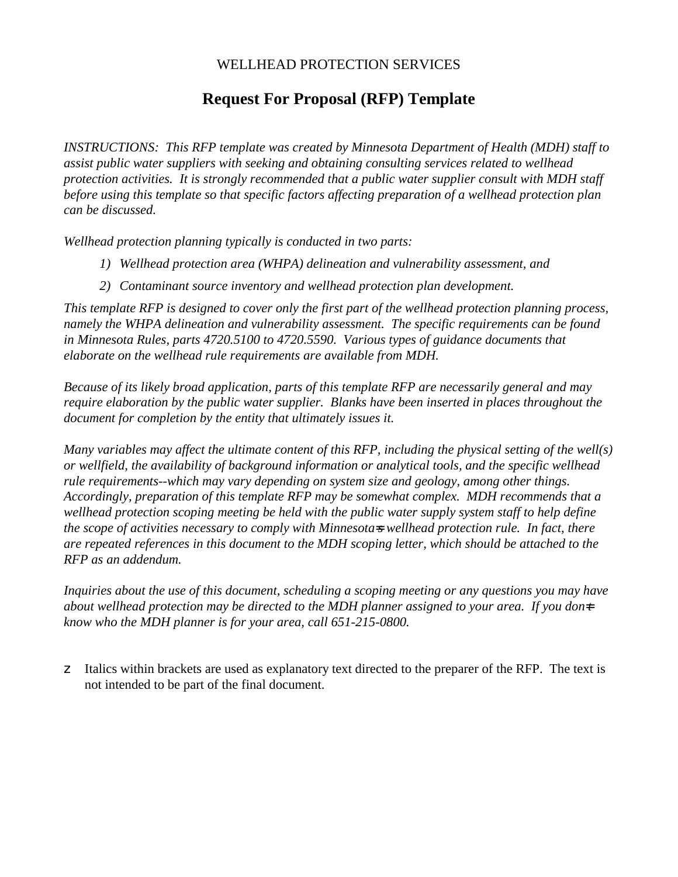# WELLHEAD PROTECTION SERVICES

# **Request For Proposal (RFP) Template**

*INSTRUCTIONS: This RFP template was created by Minnesota Department of Health (MDH) staff to assist public water suppliers with seeking and obtaining consulting services related to wellhead protection activities. It is strongly recommended that a public water supplier consult with MDH staff before using this template so that specific factors affecting preparation of a wellhead protection plan can be discussed.* 

*Wellhead protection planning typically is conducted in two parts:*

- *1) Wellhead protection area (WHPA) delineation and vulnerability assessment, and*
- *2) Contaminant source inventory and wellhead protection plan development.*

*This template RFP is designed to cover only the first part of the wellhead protection planning process, namely the WHPA delineation and vulnerability assessment. The specific requirements can be found in Minnesota Rules, parts 4720.5100 to 4720.5590. Various types of guidance documents that elaborate on the wellhead rule requirements are available from MDH.* 

*Because of its likely broad application, parts of this template RFP are necessarily general and may require elaboration by the public water supplier. Blanks have been inserted in places throughout the document for completion by the entity that ultimately issues it.*

*Many variables may affect the ultimate content of this RFP, including the physical setting of the well(s) or wellfield, the availability of background information or analytical tools, and the specific wellhead rule requirements--which may vary depending on system size and geology, among other things. Accordingly, preparation of this template RFP may be somewhat complex. MDH recommends that a wellhead protection scoping meeting be held with the public water supply system staff to help define the scope of activities necessary to comply with Minnesota=s wellhead protection rule. In fact, there are repeated references in this document to the MDH scoping letter, which should be attached to the RFP as an addendum.*

*Inquiries about the use of this document, scheduling a scoping meeting or any questions you may have about wellhead protection may be directed to the MDH planner assigned to your area. If you don=t know who the MDH planner is for your area, call 651-215-0800.* 

z Italics within brackets are used as explanatory text directed to the preparer of the RFP. The text is not intended to be part of the final document.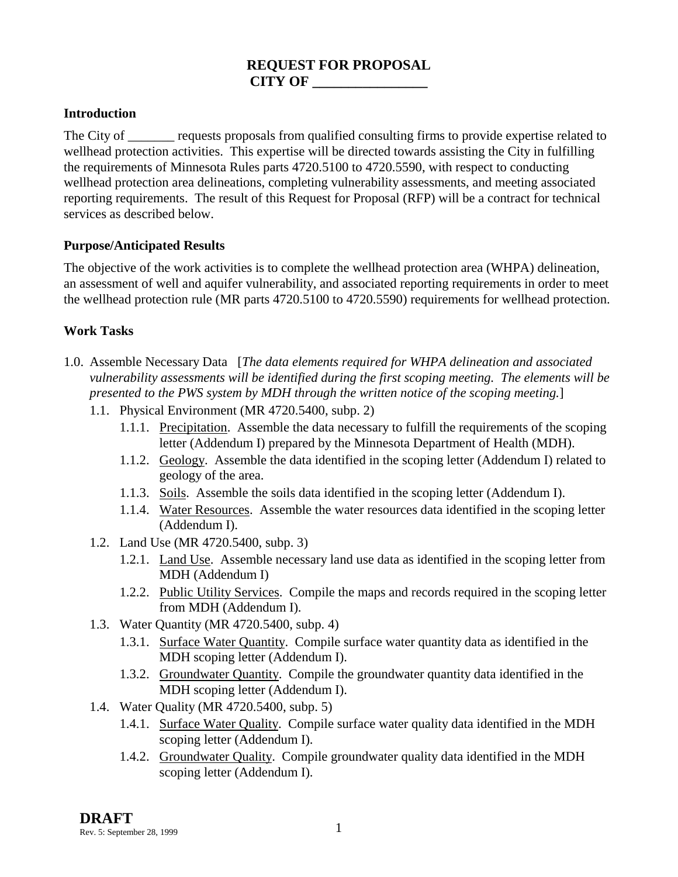# **REQUEST FOR PROPOSAL CITY OF \_\_\_\_\_\_\_\_\_\_\_\_\_\_\_\_**

# **Introduction**

The City of <u>equests</u> proposals from qualified consulting firms to provide expertise related to wellhead protection activities. This expertise will be directed towards assisting the City in fulfilling the requirements of Minnesota Rules parts 4720.5100 to 4720.5590, with respect to conducting wellhead protection area delineations, completing vulnerability assessments, and meeting associated reporting requirements. The result of this Request for Proposal (RFP) will be a contract for technical services as described below.

#### **Purpose/Anticipated Results**

The objective of the work activities is to complete the wellhead protection area (WHPA) delineation, an assessment of well and aquifer vulnerability, and associated reporting requirements in order to meet the wellhead protection rule (MR parts 4720.5100 to 4720.5590) requirements for wellhead protection.

# **Work Tasks**

- 1.0. Assemble Necessary Data [*The data elements required for WHPA delineation and associated vulnerability assessments will be identified during the first scoping meeting. The elements will be presented to the PWS system by MDH through the written notice of the scoping meeting.*]
	- 1.1. Physical Environment (MR 4720.5400, subp. 2)
		- 1.1.1. Precipitation. Assemble the data necessary to fulfill the requirements of the scoping letter (Addendum I) prepared by the Minnesota Department of Health (MDH).
		- 1.1.2. Geology. Assemble the data identified in the scoping letter (Addendum I) related to geology of the area.
		- 1.1.3. Soils. Assemble the soils data identified in the scoping letter (Addendum I).
		- 1.1.4. Water Resources. Assemble the water resources data identified in the scoping letter (Addendum I).
	- 1.2. Land Use (MR 4720.5400, subp. 3)
		- 1.2.1. Land Use. Assemble necessary land use data as identified in the scoping letter from MDH (Addendum I)
		- 1.2.2. Public Utility Services. Compile the maps and records required in the scoping letter from MDH (Addendum I).
	- 1.3. Water Quantity (MR 4720.5400, subp. 4)
		- 1.3.1. Surface Water Quantity. Compile surface water quantity data as identified in the MDH scoping letter (Addendum I).
		- 1.3.2. Groundwater Quantity. Compile the groundwater quantity data identified in the MDH scoping letter (Addendum I).
	- 1.4. Water Quality (MR 4720.5400, subp. 5)
		- 1.4.1. Surface Water Quality. Compile surface water quality data identified in the MDH scoping letter (Addendum I).
		- 1.4.2. Groundwater Quality. Compile groundwater quality data identified in the MDH scoping letter (Addendum I).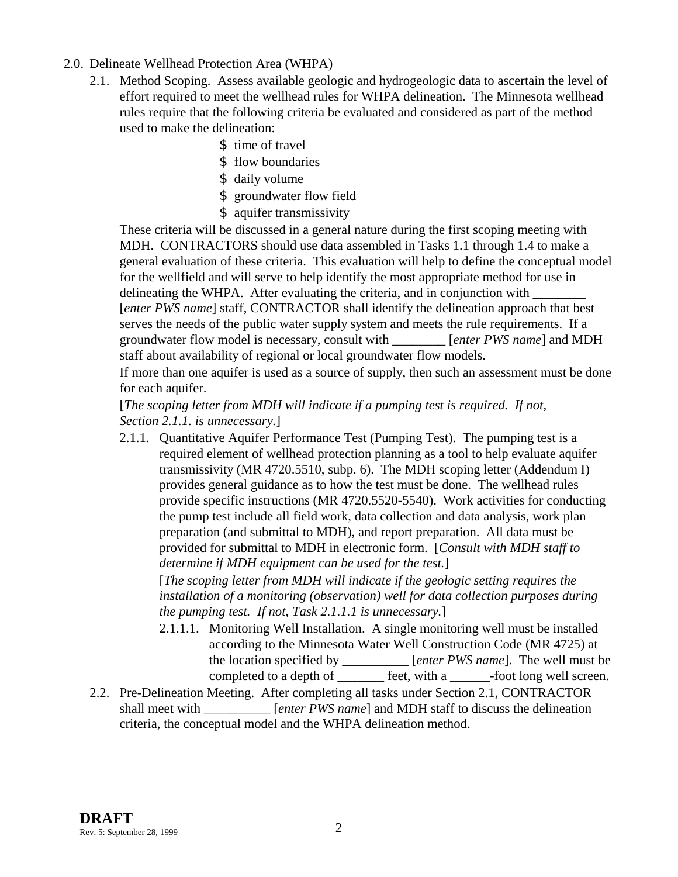- 2.0. Delineate Wellhead Protection Area (WHPA)
	- 2.1. Method Scoping. Assess available geologic and hydrogeologic data to ascertain the level of effort required to meet the wellhead rules for WHPA delineation. The Minnesota wellhead rules require that the following criteria be evaluated and considered as part of the method used to make the delineation:
		- \$ time of travel
		- \$ flow boundaries
		- \$ daily volume
		- \$ groundwater flow field
		- \$ aquifer transmissivity

These criteria will be discussed in a general nature during the first scoping meeting with MDH. CONTRACTORS should use data assembled in Tasks 1.1 through 1.4 to make a general evaluation of these criteria. This evaluation will help to define the conceptual model for the wellfield and will serve to help identify the most appropriate method for use in delineating the WHPA. After evaluating the criteria, and in conjunction with [*enter PWS name*] staff, CONTRACTOR shall identify the delineation approach that best serves the needs of the public water supply system and meets the rule requirements. If a groundwater flow model is necessary, consult with \_\_\_\_\_\_\_\_ [*enter PWS name*] and MDH staff about availability of regional or local groundwater flow models.

If more than one aquifer is used as a source of supply, then such an assessment must be done for each aquifer.

[*The scoping letter from MDH will indicate if a pumping test is required. If not, Section 2.1.1. is unnecessary.*]

2.1.1. Quantitative Aquifer Performance Test (Pumping Test). The pumping test is a required element of wellhead protection planning as a tool to help evaluate aquifer transmissivity (MR 4720.5510, subp. 6). The MDH scoping letter (Addendum I) provides general guidance as to how the test must be done. The wellhead rules provide specific instructions (MR 4720.5520-5540). Work activities for conducting the pump test include all field work, data collection and data analysis, work plan preparation (and submittal to MDH), and report preparation. All data must be provided for submittal to MDH in electronic form. [*Consult with MDH staff to determine if MDH equipment can be used for the test.*]

[*The scoping letter from MDH will indicate if the geologic setting requires the installation of a monitoring (observation) well for data collection purposes during the pumping test. If not, Task 2.1.1.1 is unnecessary.*]

- 2.1.1.1. Monitoring Well Installation. A single monitoring well must be installed according to the Minnesota Water Well Construction Code (MR 4725) at the location specified by \_\_\_\_\_\_\_\_\_\_ [*enter PWS name*]. The well must be completed to a depth of \_\_\_\_\_\_\_ feet, with a \_\_\_\_\_\_-foot long well screen.
- 2.2. Pre-Delineation Meeting. After completing all tasks under Section 2.1, CONTRACTOR shall meet with *Enter PWS name* and MDH staff to discuss the delineation criteria, the conceptual model and the WHPA delineation method.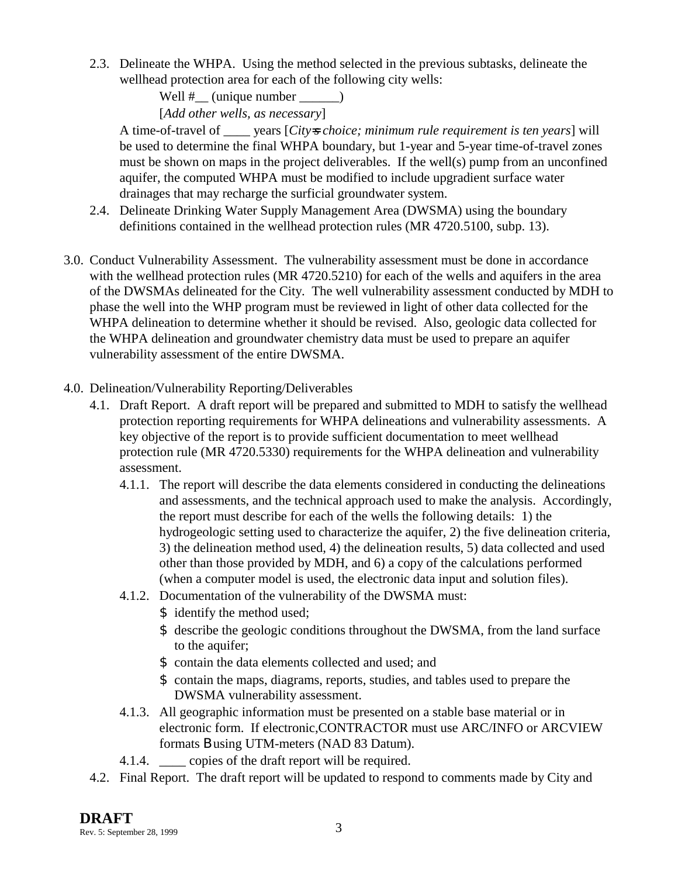2.3. Delineate the WHPA. Using the method selected in the previous subtasks, delineate the wellhead protection area for each of the following city wells:

> Well  $\#$  (unique number \_\_\_\_\_\_) [*Add other wells, as necessary*]

A time-of-travel of \_\_\_\_ years [*City=s choice; minimum rule requirement is ten years*] will be used to determine the final WHPA boundary, but 1-year and 5-year time-of-travel zones must be shown on maps in the project deliverables. If the well(s) pump from an unconfined aquifer, the computed WHPA must be modified to include upgradient surface water drainages that may recharge the surficial groundwater system.

- 2.4. Delineate Drinking Water Supply Management Area (DWSMA) using the boundary definitions contained in the wellhead protection rules (MR 4720.5100, subp. 13).
- 3.0. Conduct Vulnerability Assessment. The vulnerability assessment must be done in accordance with the wellhead protection rules (MR 4720.5210) for each of the wells and aquifers in the area of the DWSMAs delineated for the City. The well vulnerability assessment conducted by MDH to phase the well into the WHP program must be reviewed in light of other data collected for the WHPA delineation to determine whether it should be revised. Also, geologic data collected for the WHPA delineation and groundwater chemistry data must be used to prepare an aquifer vulnerability assessment of the entire DWSMA.
- 4.0. Delineation/Vulnerability Reporting/Deliverables
	- 4.1. Draft Report. A draft report will be prepared and submitted to MDH to satisfy the wellhead protection reporting requirements for WHPA delineations and vulnerability assessments. A key objective of the report is to provide sufficient documentation to meet wellhead protection rule (MR 4720.5330) requirements for the WHPA delineation and vulnerability assessment.
		- 4.1.1. The report will describe the data elements considered in conducting the delineations and assessments, and the technical approach used to make the analysis. Accordingly, the report must describe for each of the wells the following details: 1) the hydrogeologic setting used to characterize the aquifer, 2) the five delineation criteria, 3) the delineation method used, 4) the delineation results, 5) data collected and used other than those provided by MDH, and 6) a copy of the calculations performed (when a computer model is used, the electronic data input and solution files).
		- 4.1.2. Documentation of the vulnerability of the DWSMA must:
			- \$ identify the method used;
			- \$ describe the geologic conditions throughout the DWSMA, from the land surface to the aquifer;
			- \$ contain the data elements collected and used; and
			- \$ contain the maps, diagrams, reports, studies, and tables used to prepare the DWSMA vulnerability assessment.
		- 4.1.3. All geographic information must be presented on a stable base material or in electronic form. If electronic,CONTRACTOR must use ARC/INFO or ARCVIEW formats B using UTM-meters (NAD 83 Datum).
		- 4.1.4. \_\_\_\_ copies of the draft report will be required.
	- 4.2. Final Report. The draft report will be updated to respond to comments made by City and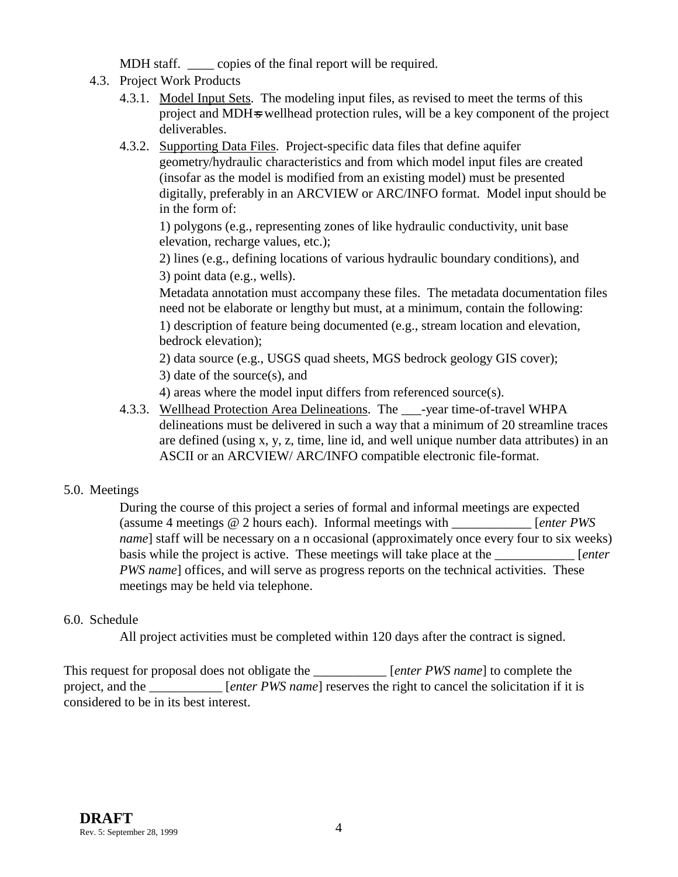MDH staff. \_\_\_\_\_\_ copies of the final report will be required.

- 4.3. Project Work Products
	- 4.3.1. Model Input Sets. The modeling input files, as revised to meet the terms of this project and MDH=s wellhead protection rules, will be a key component of the project deliverables.
	- 4.3.2. Supporting Data Files. Project-specific data files that define aquifer geometry/hydraulic characteristics and from which model input files are created (insofar as the model is modified from an existing model) must be presented digitally, preferably in an ARCVIEW or ARC/INFO format. Model input should be in the form of:

1) polygons (e.g., representing zones of like hydraulic conductivity, unit base elevation, recharge values, etc.);

2) lines (e.g., defining locations of various hydraulic boundary conditions), and 3) point data (e.g., wells).

Metadata annotation must accompany these files. The metadata documentation files need not be elaborate or lengthy but must, at a minimum, contain the following: 1) description of feature being documented (e.g., stream location and elevation, bedrock elevation);

2) data source (e.g., USGS quad sheets, MGS bedrock geology GIS cover);

3) date of the source(s), and

4) areas where the model input differs from referenced source(s).

4.3.3. Wellhead Protection Area Delineations. The -year time-of-travel WHPA delineations must be delivered in such a way that a minimum of 20 streamline traces are defined (using x, y, z, time, line id, and well unique number data attributes) in an ASCII or an ARCVIEW/ ARC/INFO compatible electronic file-format.

# 5.0. Meetings

During the course of this project a series of formal and informal meetings are expected (assume 4 meetings @ 2 hours each). Informal meetings with \_\_\_\_\_\_\_\_\_\_\_\_ [*enter PWS name*] staff will be necessary on a n occasional (approximately once every four to six weeks) basis while the project is active. These meetings will take place at the \_\_\_\_\_\_\_\_\_\_\_\_ [*enter PWS name*] offices, and will serve as progress reports on the technical activities. These meetings may be held via telephone.

# 6.0. Schedule

All project activities must be completed within 120 days after the contract is signed.

This request for proposal does not obligate the *[enter PWS name]* to complete the project, and the \_\_\_\_\_\_\_\_\_\_\_ [*enter PWS name*] reserves the right to cancel the solicitation if it is considered to be in its best interest.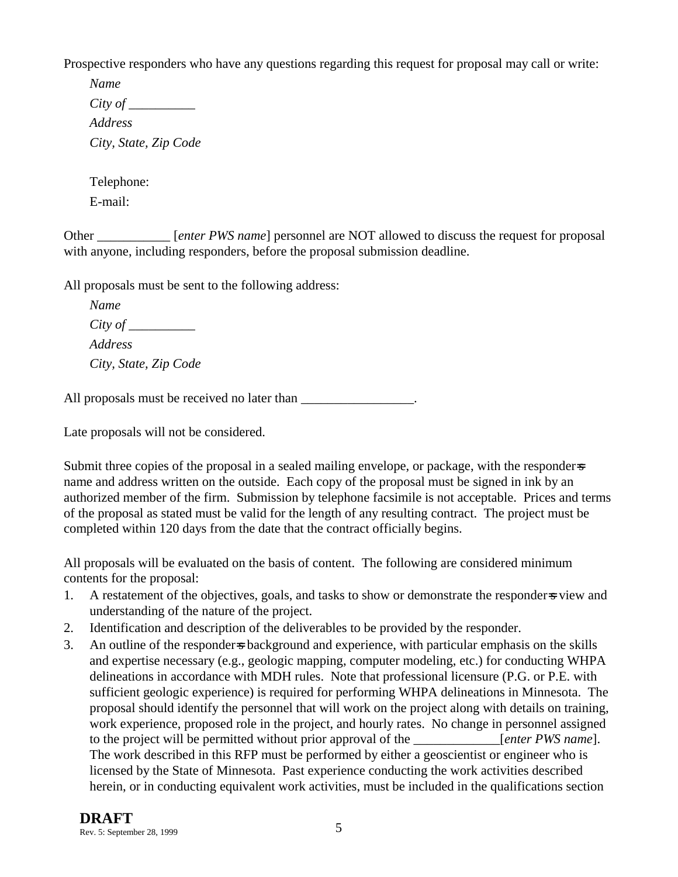Prospective responders who have any questions regarding this request for proposal may call or write:

*Name City of \_\_\_\_\_\_\_\_\_\_ Address City, State, Zip Code*

Telephone:

E-mail:

Other [*enter PWS name*] personnel are NOT allowed to discuss the request for proposal with anyone, including responders, before the proposal submission deadline.

All proposals must be sent to the following address:

*Name City of \_\_\_\_\_\_\_\_\_\_ Address City, State, Zip Code*

All proposals must be received no later than

Late proposals will not be considered.

Submit three copies of the proposal in a sealed mailing envelope, or package, with the responder-s name and address written on the outside. Each copy of the proposal must be signed in ink by an authorized member of the firm. Submission by telephone facsimile is not acceptable. Prices and terms of the proposal as stated must be valid for the length of any resulting contract. The project must be completed within 120 days from the date that the contract officially begins.

All proposals will be evaluated on the basis of content. The following are considered minimum contents for the proposal:

- 1. A restatement of the objectives, goals, and tasks to show or demonstrate the responder=s view and understanding of the nature of the project.
- 2. Identification and description of the deliverables to be provided by the responder.
- 3. An outline of the responder=s background and experience, with particular emphasis on the skills and expertise necessary (e.g., geologic mapping, computer modeling, etc.) for conducting WHPA delineations in accordance with MDH rules. Note that professional licensure (P.G. or P.E. with sufficient geologic experience) is required for performing WHPA delineations in Minnesota. The proposal should identify the personnel that will work on the project along with details on training, work experience, proposed role in the project, and hourly rates. No change in personnel assigned to the project will be permitted without prior approval of the *[enter PWS name*]. The work described in this RFP must be performed by either a geoscientist or engineer who is licensed by the State of Minnesota. Past experience conducting the work activities described herein, or in conducting equivalent work activities, must be included in the qualifications section